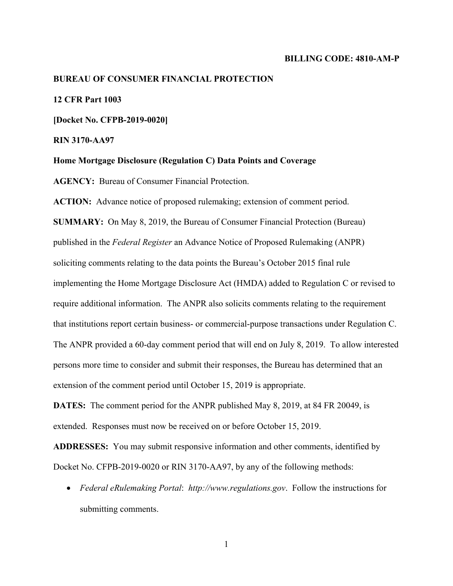#### **BILLING CODE: 4810-AM-P**

#### **BUREAU OF CONSUMER FINANCIAL PROTECTION**

## **12 CFR Part 1003**

**[Docket No. CFPB-2019-0020]** 

**RIN 3170-AA97** 

**Home Mortgage Disclosure (Regulation C) Data Points and Coverage** 

**AGENCY:** Bureau of Consumer Financial Protection.

**ACTION:** Advance notice of proposed rulemaking; extension of comment period.

**SUMMARY:** On May 8, 2019, the Bureau of Consumer Financial Protection (Bureau) published in the *Federal Register* an Advance Notice of Proposed Rulemaking (ANPR) soliciting comments relating to the data points the Bureau's October 2015 final rule implementing the Home Mortgage Disclosure Act (HMDA) added to Regulation C or revised to require additional information. The ANPR also solicits comments relating to the requirement that institutions report certain business- or commercial-purpose transactions under Regulation C. The ANPR provided a 60-day comment period that will end on July 8, 2019. To allow interested persons more time to consider and submit their responses, the Bureau has determined that an extension of the comment period until October 15, 2019 is appropriate.

**DATES:** The comment period for the ANPR published May 8, 2019, at 84 FR 20049, is extended. Responses must now be received on or before October 15, 2019.

**ADDRESSES:** You may submit responsive information and other comments, identified by Docket No. CFPB-2019-0020 or RIN 3170-AA97, by any of the following methods:

 *Federal eRulemaking Portal*: *http://www.regulations.gov*. Follow the instructions for submitting comments.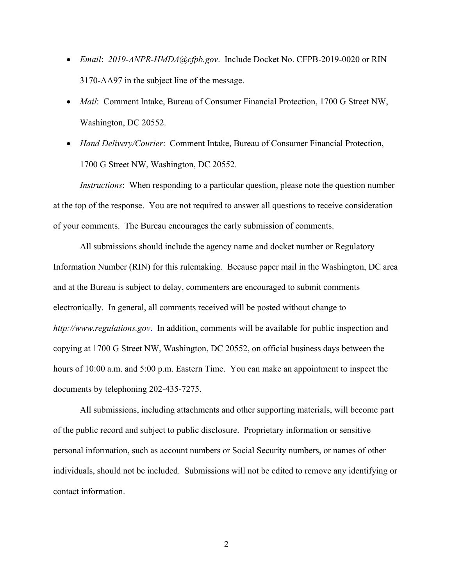- *Email*: *2019-ANPR-HMDA@cfpb.gov*. Include Docket No. CFPB-2019-0020 or RIN 3170-AA97 in the subject line of the message.
- *Mail*: Comment Intake, Bureau of Consumer Financial Protection, 1700 G Street NW, Washington, DC 20552.
- *Hand Delivery/Courier*: Comment Intake, Bureau of Consumer Financial Protection, 1700 G Street NW, Washington, DC 20552.

*Instructions*: When responding to a particular question, please note the question number at the top of the response. You are not required to answer all questions to receive consideration of your comments. The Bureau encourages the early submission of comments.

All submissions should include the agency name and docket number or Regulatory Information Number (RIN) for this rulemaking. Because paper mail in the Washington, DC area and at the Bureau is subject to delay, commenters are encouraged to submit comments electronically. In general, all comments received will be posted without change to *http://www.regulations.gov*. In addition, comments will be available for public inspection and copying at 1700 G Street NW, Washington, DC 20552, on official business days between the hours of 10:00 a.m. and 5:00 p.m. Eastern Time. You can make an appointment to inspect the documents by telephoning 202-435-7275.

All submissions, including attachments and other supporting materials, will become part of the public record and subject to public disclosure. Proprietary information or sensitive personal information, such as account numbers or Social Security numbers, or names of other individuals, should not be included. Submissions will not be edited to remove any identifying or contact information.

2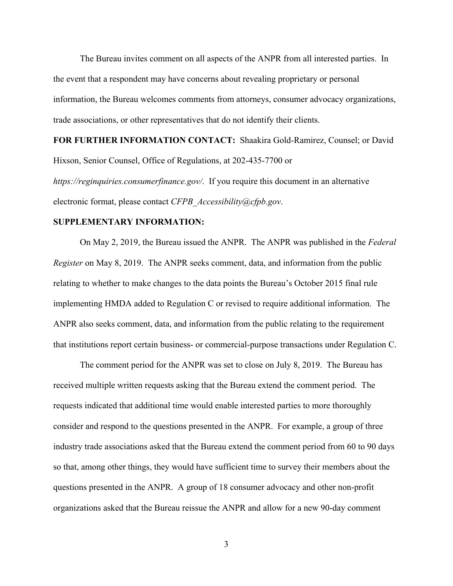The Bureau invites comment on all aspects of the ANPR from all interested parties. In the event that a respondent may have concerns about revealing proprietary or personal information, the Bureau welcomes comments from attorneys, consumer advocacy organizations, trade associations, or other representatives that do not identify their clients.

**FOR FURTHER INFORMATION CONTACT:** Shaakira Gold-Ramirez, Counsel; or David Hixson, Senior Counsel, Office of Regulations, at 202-435-7700 or

*https://reginquiries.consumerfinance.gov/*. If you require this document in an alternative electronic format, please contact *CFPB\_Accessibility@cfpb.gov*.

## **SUPPLEMENTARY INFORMATION:**

On May 2, 2019, the Bureau issued the ANPR. The ANPR was published in the *Federal Register* on May 8, 2019. The ANPR seeks comment, data, and information from the public relating to whether to make changes to the data points the Bureau's October 2015 final rule implementing HMDA added to Regulation C or revised to require additional information. The ANPR also seeks comment, data, and information from the public relating to the requirement that institutions report certain business- or commercial-purpose transactions under Regulation C.

The comment period for the ANPR was set to close on July 8, 2019. The Bureau has received multiple written requests asking that the Bureau extend the comment period. The requests indicated that additional time would enable interested parties to more thoroughly consider and respond to the questions presented in the ANPR. For example, a group of three industry trade associations asked that the Bureau extend the comment period from 60 to 90 days so that, among other things, they would have sufficient time to survey their members about the questions presented in the ANPR. A group of 18 consumer advocacy and other non-profit organizations asked that the Bureau reissue the ANPR and allow for a new 90-day comment

3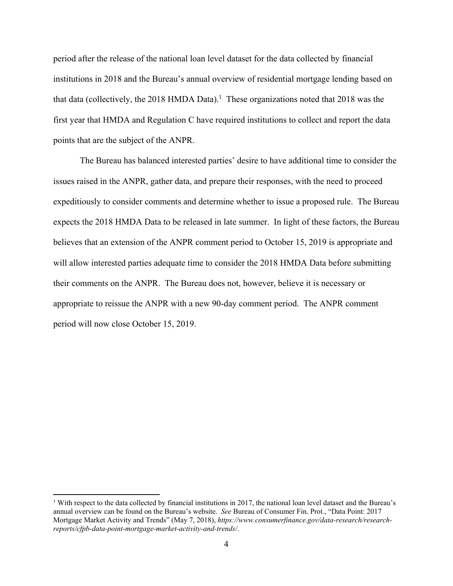period after the release of the national loan level dataset for the data collected by financial institutions in 2018 and the Bureau's annual overview of residential mortgage lending based on that data (collectively, the 2018 HMDA Data).<sup>1</sup> These organizations noted that 2018 was the first year that HMDA and Regulation C have required institutions to collect and report the data points that are the subject of the ANPR.

The Bureau has balanced interested parties' desire to have additional time to consider the issues raised in the ANPR, gather data, and prepare their responses, with the need to proceed expeditiously to consider comments and determine whether to issue a proposed rule. The Bureau expects the 2018 HMDA Data to be released in late summer. In light of these factors, the Bureau believes that an extension of the ANPR comment period to October 15, 2019 is appropriate and will allow interested parties adequate time to consider the 2018 HMDA Data before submitting their comments on the ANPR. The Bureau does not, however, believe it is necessary or appropriate to reissue the ANPR with a new 90-day comment period. The ANPR comment period will now close October 15, 2019.

 $\overline{a}$ 

<sup>&</sup>lt;sup>1</sup> With respect to the data collected by financial institutions in 2017, the national loan level dataset and the Bureau's annual overview can be found on the Bureau's website. *See* Bureau of Consumer Fin. Prot., "Data Point: 2017 Mortgage Market Activity and Trends" (May 7, 2018), *https://www.consumerfinance.gov/data-research/researchreports/cfpb-data-point-mortgage-market-activity-and-trends/*.